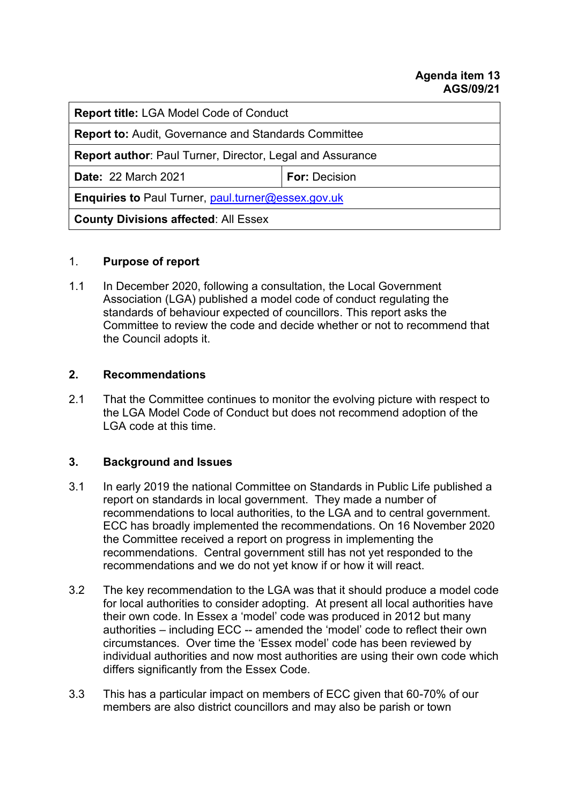#### **Agenda item 13 AGS/09/21**

| <b>Report title: LGA Model Code of Conduct</b>                   |                      |
|------------------------------------------------------------------|----------------------|
| <b>Report to: Audit, Governance and Standards Committee</b>      |                      |
| <b>Report author: Paul Turner, Director, Legal and Assurance</b> |                      |
| <b>Date: 22 March 2021</b>                                       | <b>For: Decision</b> |
| Enquiries to Paul Turner, paul.turner@essex.gov.uk               |                      |
| <b>County Divisions affected: All Essex</b>                      |                      |

#### 1. **Purpose of report**

1.1 In December 2020, following a consultation, the Local Government Association (LGA) published a model code of conduct regulating the standards of behaviour expected of councillors. This report asks the Committee to review the code and decide whether or not to recommend that the Council adopts it.

#### **2. Recommendations**

2.1 That the Committee continues to monitor the evolving picture with respect to the LGA Model Code of Conduct but does not recommend adoption of the LGA code at this time.

## **3. Background and Issues**

- 3.1 In early 2019 the national Committee on Standards in Public Life published a report on standards in local government. They made a number of recommendations to local authorities, to the LGA and to central government. ECC has broadly implemented the recommendations. On 16 November 2020 the Committee received a report on progress in implementing the recommendations. Central government still has not yet responded to the recommendations and we do not yet know if or how it will react.
- 3.2 The key recommendation to the LGA was that it should produce a model code for local authorities to consider adopting. At present all local authorities have their own code. In Essex a 'model' code was produced in 2012 but many authorities – including ECC -- amended the 'model' code to reflect their own circumstances. Over time the 'Essex model' code has been reviewed by individual authorities and now most authorities are using their own code which differs significantly from the Essex Code.
- 3.3 This has a particular impact on members of ECC given that 60-70% of our members are also district councillors and may also be parish or town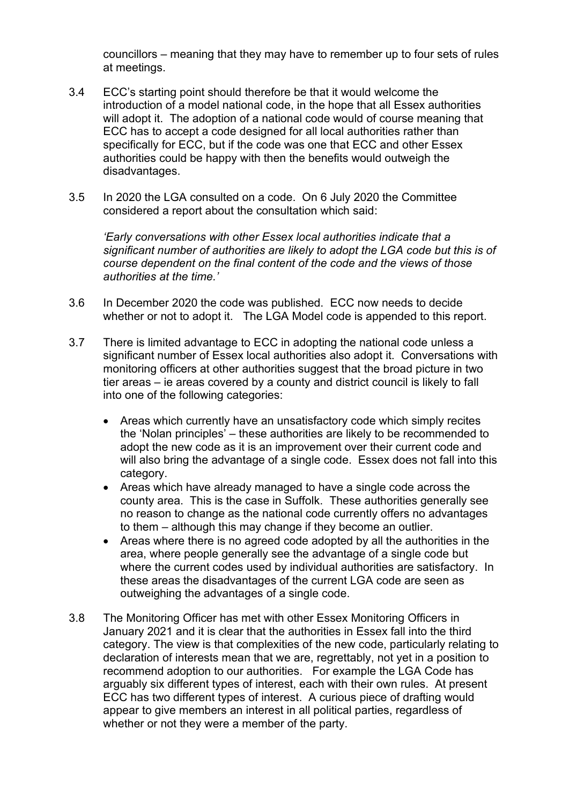councillors – meaning that they may have to remember up to four sets of rules at meetings.

- 3.4 ECC's starting point should therefore be that it would welcome the introduction of a model national code, in the hope that all Essex authorities will adopt it. The adoption of a national code would of course meaning that ECC has to accept a code designed for all local authorities rather than specifically for ECC, but if the code was one that ECC and other Essex authorities could be happy with then the benefits would outweigh the disadvantages.
- 3.5 In 2020 the LGA consulted on a code. On 6 July 2020 the Committee considered a report about the consultation which said:

*'Early conversations with other Essex local authorities indicate that a significant number of authorities are likely to adopt the LGA code but this is of course dependent on the final content of the code and the views of those authorities at the time.'*

- 3.6 In December 2020 the code was published. ECC now needs to decide whether or not to adopt it. The LGA Model code is appended to this report.
- 3.7 There is limited advantage to ECC in adopting the national code unless a significant number of Essex local authorities also adopt it. Conversations with monitoring officers at other authorities suggest that the broad picture in two tier areas – ie areas covered by a county and district council is likely to fall into one of the following categories:
	- Areas which currently have an unsatisfactory code which simply recites the 'Nolan principles' – these authorities are likely to be recommended to adopt the new code as it is an improvement over their current code and will also bring the advantage of a single code. Essex does not fall into this category.
	- Areas which have already managed to have a single code across the county area. This is the case in Suffolk. These authorities generally see no reason to change as the national code currently offers no advantages to them – although this may change if they become an outlier.
	- Areas where there is no agreed code adopted by all the authorities in the area, where people generally see the advantage of a single code but where the current codes used by individual authorities are satisfactory. In these areas the disadvantages of the current LGA code are seen as outweighing the advantages of a single code.
- 3.8 The Monitoring Officer has met with other Essex Monitoring Officers in January 2021 and it is clear that the authorities in Essex fall into the third category. The view is that complexities of the new code, particularly relating to declaration of interests mean that we are, regrettably, not yet in a position to recommend adoption to our authorities. For example the LGA Code has arguably six different types of interest, each with their own rules. At present ECC has two different types of interest. A curious piece of drafting would appear to give members an interest in all political parties, regardless of whether or not they were a member of the party.